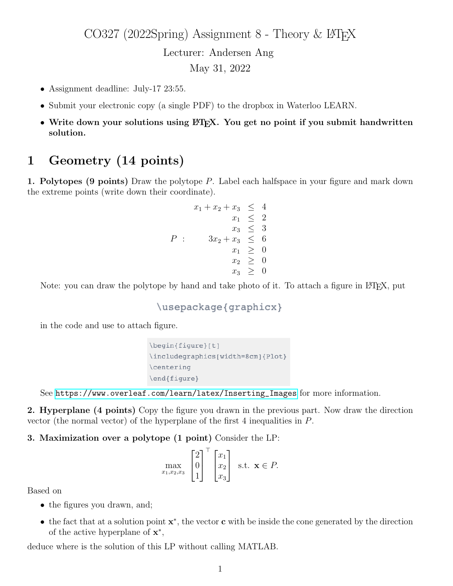CO327 (2022Spring) Assignment 8 - Theory & L<sup>AT</sup>EX Lecturer: Andersen Ang May 31, 2022

- Assignment deadline: July-17 23:55.
- Submit your electronic copy (a single PDF) to the dropbox in Waterloo LEARN.
- Write down your solutions using LATEX. You get no point if you submit handwritten solution.

## 1 Geometry (14 points)

**1. Polytopes (9 points)** Draw the polytope  $P$ . Label each halfspace in your figure and mark down the extreme points (write down their coordinate).

$$
x_1 + x_2 + x_3 \le 4
$$
  
\n
$$
x_1 \le 2
$$
  
\n
$$
x_3 \le 3
$$
  
\n
$$
P: \quad 3x_2 + x_3 \le 6
$$
  
\n
$$
x_1 \ge 0
$$
  
\n
$$
x_2 \ge 0
$$
  
\n
$$
x_3 \ge 0
$$

Note: you can draw the polytope by hand and take photo of it. To attach a figure in LATEX, put

```
\usepackage{graphicx}
```
in the code and use to attach figure.

```
\begin{figure}[t]
\includegraphics[width=8cm]{Plot}
\centering
\end{figure}
```
See [https://www.overleaf.com/learn/latex/Inserting\\_Images](https://www.overleaf.com/learn/latex/Inserting_Images) for more information.

2. Hyperplane (4 points) Copy the figure you drawn in the previous part. Now draw the direction vector (the normal vector) of the hyperplane of the first 4 inequalities in P.

3. Maximization over a polytope (1 point) Consider the LP:

$$
\max_{x_1, x_2, x_3} \begin{bmatrix} 2 \\ 0 \\ 1 \end{bmatrix}^\top \begin{bmatrix} x_1 \\ x_2 \\ x_3 \end{bmatrix} \text{ s.t. } \mathbf{x} \in P.
$$

Based on

- the figures you drawn, and;
- the fact that at a solution point  $\mathbf{x}^*$ , the vector **c** with be inside the cone generated by the direction of the active hyperplane of  $\mathbf{x}^*$ ,

deduce where is the solution of this LP without calling MATLAB.